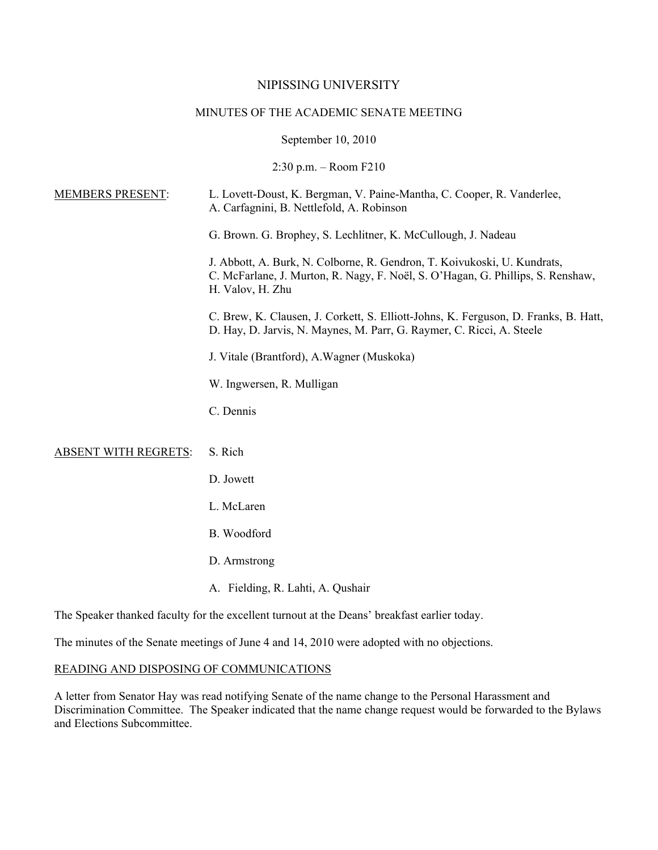## NIPISSING UNIVERSITY

# MINUTES OF THE ACADEMIC SENATE MEETING

September 10, 2010

2:30 p.m. – Room F210

| <b>MEMBERS PRESENT:</b>                                                                      | L. Lovett-Doust, K. Bergman, V. Paine-Mantha, C. Cooper, R. Vanderlee,<br>A. Carfagnini, B. Nettlefold, A. Robinson                                                             |
|----------------------------------------------------------------------------------------------|---------------------------------------------------------------------------------------------------------------------------------------------------------------------------------|
|                                                                                              | G. Brown. G. Brophey, S. Lechlitner, K. McCullough, J. Nadeau                                                                                                                   |
|                                                                                              | J. Abbott, A. Burk, N. Colborne, R. Gendron, T. Koivukoski, U. Kundrats,<br>C. McFarlane, J. Murton, R. Nagy, F. Noël, S. O'Hagan, G. Phillips, S. Renshaw,<br>H. Valov, H. Zhu |
|                                                                                              | C. Brew, K. Clausen, J. Corkett, S. Elliott-Johns, K. Ferguson, D. Franks, B. Hatt,<br>D. Hay, D. Jarvis, N. Maynes, M. Parr, G. Raymer, C. Ricci, A. Steele                    |
|                                                                                              | J. Vitale (Brantford), A. Wagner (Muskoka)                                                                                                                                      |
|                                                                                              | W. Ingwersen, R. Mulligan                                                                                                                                                       |
|                                                                                              | C. Dennis                                                                                                                                                                       |
| <b>ABSENT WITH REGRETS:</b>                                                                  | S. Rich                                                                                                                                                                         |
|                                                                                              | D. Jowett                                                                                                                                                                       |
|                                                                                              | L. McLaren                                                                                                                                                                      |
|                                                                                              | B. Woodford                                                                                                                                                                     |
|                                                                                              | D. Armstrong                                                                                                                                                                    |
|                                                                                              | A. Fielding, R. Lahti, A. Qushair                                                                                                                                               |
| The Speaker thanked faculty for the excellent turnout at the Deans' breakfast earlier today. |                                                                                                                                                                                 |

The minutes of the Senate meetings of June 4 and 14, 2010 were adopted with no objections.

#### READING AND DISPOSING OF COMMUNICATIONS

A letter from Senator Hay was read notifying Senate of the name change to the Personal Harassment and Discrimination Committee. The Speaker indicated that the name change request would be forwarded to the Bylaws and Elections Subcommittee.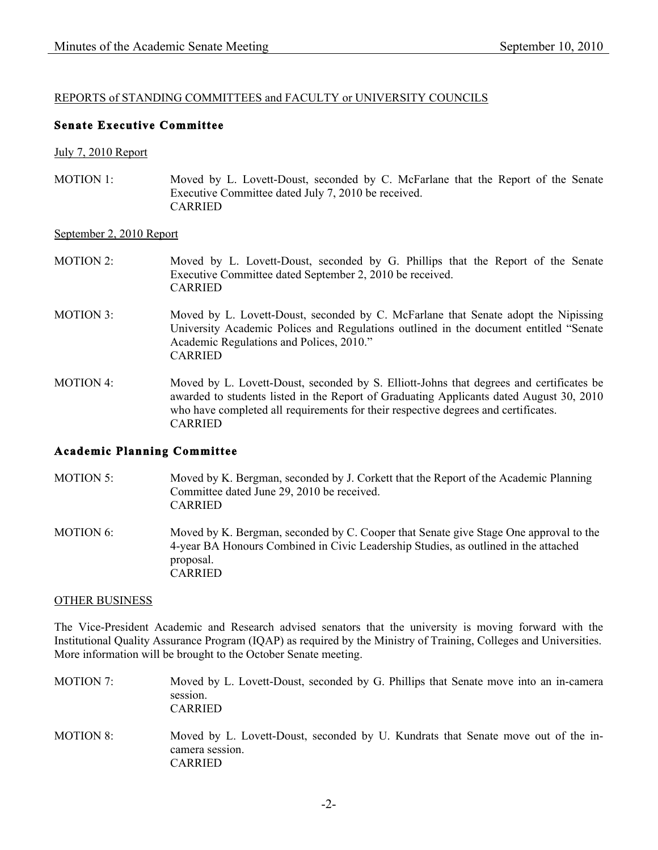# REPORTS of STANDING COMMITTEES and FACULTY or UNIVERSITY COUNCILS

# **Senate Executive Committee**

#### July 7, 2010 Report

MOTION 1: Moved by L. Lovett-Doust, seconded by C. McFarlane that the Report of the Senate Executive Committee dated July 7, 2010 be received. CARRIED

### September 2, 2010 Report

#### MOTION 2: Moved by L. Lovett-Doust, seconded by G. Phillips that the Report of the Senate Executive Committee dated September 2, 2010 be received. CARRIED

- MOTION 3: Moved by L. Lovett-Doust, seconded by C. McFarlane that Senate adopt the Nipissing University Academic Polices and Regulations outlined in the document entitled "Senate Academic Regulations and Polices, 2010." CARRIED
- MOTION 4: Moved by L. Lovett-Doust, seconded by S. Elliott-Johns that degrees and certificates be awarded to students listed in the Report of Graduating Applicants dated August 30, 2010 who have completed all requirements for their respective degrees and certificates. CARRIED

### **Academic Planning Committee**

- MOTION 5: Moved by K. Bergman, seconded by J. Corkett that the Report of the Academic Planning Committee dated June 29, 2010 be received. CARRIED
- MOTION 6: Moved by K. Bergman, seconded by C. Cooper that Senate give Stage One approval to the 4-year BA Honours Combined in Civic Leadership Studies, as outlined in the attached proposal. CARRIED

#### OTHER BUSINESS

The Vice-President Academic and Research advised senators that the university is moving forward with the Institutional Quality Assurance Program (IQAP) as required by the Ministry of Training, Colleges and Universities. More information will be brought to the October Senate meeting.

- MOTION 7: Moved by L. Lovett-Doust, seconded by G. Phillips that Senate move into an in-camera session. CARRIED MOTION 8: Moved by L. Lovett-Doust, seconded by U. Kundrats that Senate move out of the in-
- camera session. CARRIED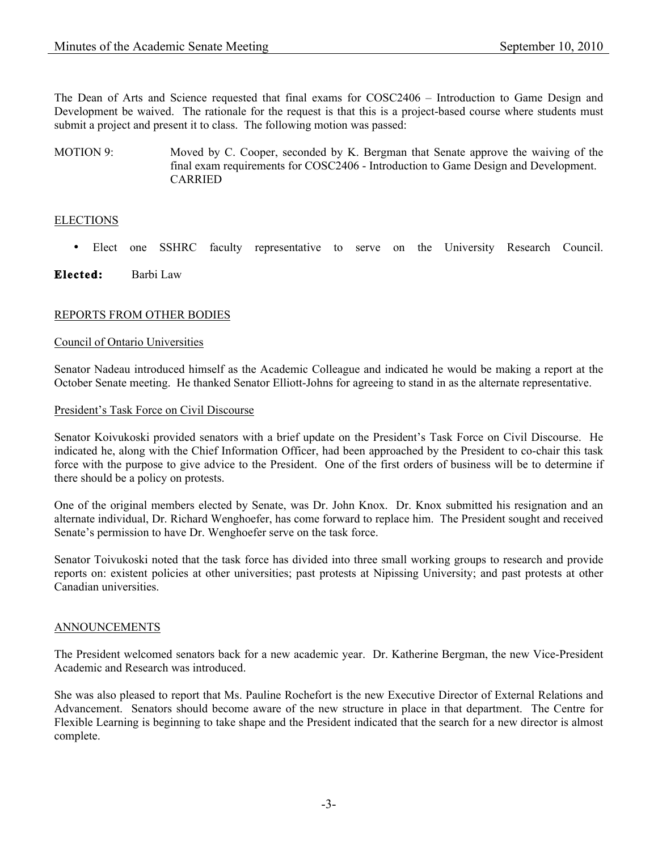The Dean of Arts and Science requested that final exams for COSC2406 – Introduction to Game Design and Development be waived. The rationale for the request is that this is a project-based course where students must submit a project and present it to class. The following motion was passed:

MOTION 9: Moved by C. Cooper, seconded by K. Bergman that Senate approve the waiving of the final exam requirements for COSC2406 - Introduction to Game Design and Development. CARRIED

# **ELECTIONS**

- Elect one SSHRC faculty representative to serve on the University Research Council.
- **Elected:** Barbi Law

# REPORTS FROM OTHER BODIES

## Council of Ontario Universities

Senator Nadeau introduced himself as the Academic Colleague and indicated he would be making a report at the October Senate meeting. He thanked Senator Elliott-Johns for agreeing to stand in as the alternate representative.

### President's Task Force on Civil Discourse

Senator Koivukoski provided senators with a brief update on the President's Task Force on Civil Discourse. He indicated he, along with the Chief Information Officer, had been approached by the President to co-chair this task force with the purpose to give advice to the President. One of the first orders of business will be to determine if there should be a policy on protests.

One of the original members elected by Senate, was Dr. John Knox. Dr. Knox submitted his resignation and an alternate individual, Dr. Richard Wenghoefer, has come forward to replace him. The President sought and received Senate's permission to have Dr. Wenghoefer serve on the task force.

Senator Toivukoski noted that the task force has divided into three small working groups to research and provide reports on: existent policies at other universities; past protests at Nipissing University; and past protests at other Canadian universities.

### ANNOUNCEMENTS

The President welcomed senators back for a new academic year. Dr. Katherine Bergman, the new Vice-President Academic and Research was introduced.

She was also pleased to report that Ms. Pauline Rochefort is the new Executive Director of External Relations and Advancement. Senators should become aware of the new structure in place in that department. The Centre for Flexible Learning is beginning to take shape and the President indicated that the search for a new director is almost complete.